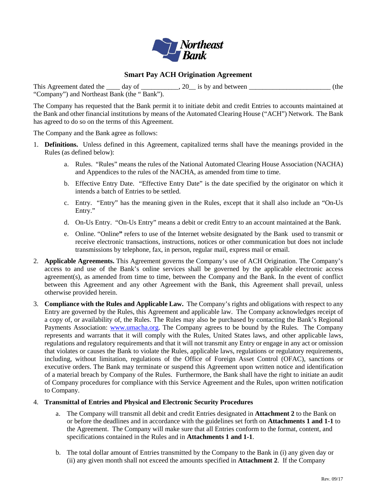

### **Smart Pay ACH Origination Agreement**

This Agreement dated the  $\_\_\_$  day of  $\_\_\_\_\_$ , 20 $\_\_$  is by and between  $\_\_\_\_\_\_\_$  (the "Company") and Northeast Bank (the " Bank").

The Company has requested that the Bank permit it to initiate debit and credit Entries to accounts maintained at the Bank and other financial institutions by means of the Automated Clearing House ("ACH") Network. The Bank has agreed to do so on the terms of this Agreement.

The Company and the Bank agree as follows:

- 1. **Definitions.** Unless defined in this Agreement, capitalized terms shall have the meanings provided in the Rules (as defined below):
	- a. Rules. "Rules" means the rules of the National Automated Clearing House Association (NACHA) and Appendices to the rules of the NACHA, as amended from time to time.
	- b. Effective Entry Date. "Effective Entry Date" is the date specified by the originator on which it intends a batch of Entries to be settled.
	- c. Entry. "Entry" has the meaning given in the Rules, except that it shall also include an "On-Us Entry."
	- d. On-Us Entry. "On-Us Entry" means a debit or credit Entry to an account maintained at the Bank.
	- e. Online. "Online**"** refers to use of the Internet website designated by the Bank used to transmit or receive electronic transactions, instructions, notices or other communication but does not include transmissions by telephone, fax, in person, regular mail, express mail or email.
- 2. **Applicable Agreements.** This Agreement governs the Company's use of ACH Origination. The Company's access to and use of the Bank's online services shall be governed by the applicable electronic access agreement(s), as amended from time to time, between the Company and the Bank. In the event of conflict between this Agreement and any other Agreement with the Bank, this Agreement shall prevail, unless otherwise provided herein.
- 3. **Compliance with the Rules and Applicable Law.** The Company's rights and obligations with respect to any Entry are governed by the Rules, this Agreement and applicable law. The Company acknowledges receipt of a copy of, or availability of, the Rules. The Rules may also be purchased by contacting the Bank's Regional Payments Association: [www.umacha.org.](http://www.umacha.org/) The Company agrees to be bound by the Rules. The Company represents and warrants that it will comply with the Rules, United States laws, and other applicable laws, regulations and regulatory requirements and that it will not transmit any Entry or engage in any act or omission that violates or causes the Bank to violate the Rules, applicable laws, regulations or regulatory requirements, including, without limitation, regulations of the Office of Foreign Asset Control (OFAC), sanctions or executive orders. The Bank may terminate or suspend this Agreement upon written notice and identification of a material breach by Company of the Rules. Furthermore, the Bank shall have the right to initiate an audit of Company procedures for compliance with this Service Agreement and the Rules, upon written notification to Company.

#### 4. **Transmittal of Entries and Physical and Electronic Security Procedures**

- a. The Company will transmit all debit and credit Entries designated in **Attachment 2** to the Bank on or before the deadlines and in accordance with the guidelines set forth on **Attachments 1 and 1-1** to the Agreement. The Company will make sure that all Entries conform to the format, content, and specifications contained in the Rules and in **Attachments 1 and 1-1**.
- b. The total dollar amount of Entries transmitted by the Company to the Bank in (i) any given day or (ii) any given month shall not exceed the amounts specified in **Attachment 2**. If the Company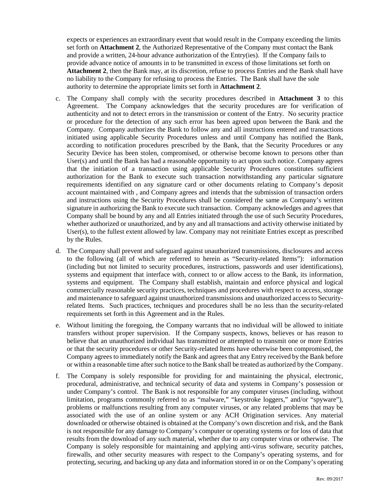expects or experiences an extraordinary event that would result in the Company exceeding the limits set forth on **Attachment 2**, the Authorized Representative of the Company must contact the Bank and provide a written, 24-hour advance authorization of the Entry(ies). If the Company fails to provide advance notice of amounts in to be transmitted in excess of those limitations set forth on **Attachment 2**, then the Bank may, at its discretion, refuse to process Entries and the Bank shall have no liability to the Company for refusing to process the Entries. The Bank shall have the sole authority to determine the appropriate limits set forth in **Attachment 2**.

- c. The Company shall comply with the security procedures described in **Attachment 3** to this Agreement. The Company acknowledges that the security procedures are for verification of authenticity and not to detect errors in the transmission or content of the Entry. No security practice or procedure for the detection of any such error has been agreed upon between the Bank and the Company. Company authorizes the Bank to follow any and all instructions entered and transactions initiated using applicable Security Procedures unless and until Company has notified the Bank, according to notification procedures prescribed by the Bank, that the Security Procedures or any Security Device has been stolen, compromised, or otherwise become known to persons other than User(s) and until the Bank has had a reasonable opportunity to act upon such notice. Company agrees that the initiation of a transaction using applicable Security Procedures constitutes sufficient authorization for the Bank to execute such transaction notwithstanding any particular signature requirements identified on any signature card or other documents relating to Company's deposit account maintained with , and Company agrees and intends that the submission of transaction orders and instructions using the Security Procedures shall be considered the same as Company's written signature in authorizing the Bank to execute such transaction. Company acknowledges and agrees that Company shall be bound by any and all Entries initiated through the use of such Security Procedures, whether authorized or unauthorized, and by any and all transactions and activity otherwise initiated by User(s), to the fullest extent allowed by law. Company may not reinitiate Entries except as prescribed by the Rules.
- d. The Company shall prevent and safeguard against unauthorized transmissions, disclosures and access to the following (all of which are referred to herein as "Security-related Items"): information (including but not limited to security procedures, instructions, passwords and user identifications), systems and equipment that interface with, connect to or allow access to the Bank, its information, systems and equipment. The Company shall establish, maintain and enforce physical and logical commercially reasonable security practices, techniques and procedures with respect to access, storage and maintenance to safeguard against unauthorized transmissions and unauthorized access to Securityrelated Items. Such practices, techniques and procedures shall be no less than the security-related requirements set forth in this Agreement and in the Rules.
- e. Without limiting the foregoing, the Company warrants that no individual will be allowed to initiate transfers without proper supervision. If the Company suspects, knows, believes or has reason to believe that an unauthorized individual has transmitted or attempted to transmit one or more Entries or that the security procedures or other Security-related Items have otherwise been compromised, the Company agrees to immediately notify the Bank and agrees that any Entry received by the Bank before or within a reasonable time after such notice to the Bank shall be treated as authorized by the Company.
- f. The Company is solely responsible for providing for and maintaining the physical, electronic, procedural, administrative, and technical security of data and systems in Company's possession or under Company's control. The Bank is not responsible for any computer viruses (including, without limitation, programs commonly referred to as "malware," "keystroke loggers," and/or "spyware"), problems or malfunctions resulting from any computer viruses, or any related problems that may be associated with the use of an online system or any ACH Origination services. Any material downloaded or otherwise obtained is obtained at the Company's own discretion and risk, and the Bank is not responsible for any damage to Company's computer or operating systems or for loss of data that results from the download of any such material, whether due to any computer virus or otherwise. The Company is solely responsible for maintaining and applying anti-virus software, security patches, firewalls, and other security measures with respect to the Company's operating systems, and for protecting, securing, and backing up any data and information stored in or on the Company's operating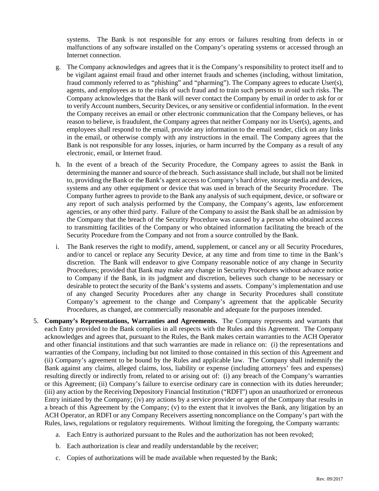systems. The Bank is not responsible for any errors or failures resulting from defects in or malfunctions of any software installed on the Company's operating systems or accessed through an Internet connection.

- g. The Company acknowledges and agrees that it is the Company's responsibility to protect itself and to be vigilant against email fraud and other internet frauds and schemes (including, without limitation, fraud commonly referred to as "phishing" and "pharming"). The Company agrees to educate User(s), agents, and employees as to the risks of such fraud and to train such persons to avoid such risks. The Company acknowledges that the Bank will never contact the Company by email in order to ask for or to verify Account numbers, Security Devices, or any sensitive or confidential information. In the event the Company receives an email or other electronic communication that the Company believes, or has reason to believe, is fraudulent, the Company agrees that neither Company nor its User(s), agents, and employees shall respond to the email, provide any information to the email sender, click on any links in the email, or otherwise comply with any instructions in the email. The Company agrees that the Bank is not responsible for any losses, injuries, or harm incurred by the Company as a result of any electronic, email, or Internet fraud.
- h. In the event of a breach of the Security Procedure, the Company agrees to assist the Bank in determining the manner and source of the breach. Such assistance shall include, but shall not be limited to, providing the Bank or the Bank's agent access to Company's hard drive, storage media and devices, systems and any other equipment or device that was used in breach of the Security Procedure. The Company further agrees to provide to the Bank any analysis of such equipment, device, or software or any report of such analysis performed by the Company, the Company's agents, law enforcement agencies, or any other third party. Failure of the Company to assist the Bank shall be an admission by the Company that the breach of the Security Procedure was caused by a person who obtained access to transmitting facilities of the Company or who obtained information facilitating the breach of the Security Procedure from the Company and not from a source controlled by the Bank.
- i. The Bank reserves the right to modify, amend, supplement, or cancel any or all Security Procedures, and/or to cancel or replace any Security Device, at any time and from time to time in the Bank's discretion. The Bank will endeavor to give Company reasonable notice of any change in Security Procedures; provided that Bank may make any change in Security Procedures without advance notice to Company if the Bank, in its judgment and discretion, believes such change to be necessary or desirable to protect the security of the Bank's systems and assets. Company's implementation and use of any changed Security Procedures after any change in Security Procedures shall constitute Company's agreement to the change and Company's agreement that the applicable Security Procedures, as changed, are commercially reasonable and adequate for the purposes intended.
- 5. **Company's Representations, Warranties and Agreements.** The Company represents and warrants that each Entry provided to the Bank complies in all respects with the Rules and this Agreement. The Company acknowledges and agrees that, pursuant to the Rules, the Bank makes certain warranties to the ACH Operator and other financial institutions and that such warranties are made in reliance on: (i) the representations and warranties of the Company, including but not limited to those contained in this section of this Agreement and (ii) Company's agreement to be bound by the Rules and applicable law. The Company shall indemnify the Bank against any claims, alleged claims, loss, liability or expense (including attorneys' fees and expenses) resulting directly or indirectly from, related to or arising out of: (i) any breach of the Company's warranties or this Agreement; (ii) Company's failure to exercise ordinary care in connection with its duties hereunder; (iii) any action by the Receiving Depository Financial Institution ("RDFI") upon an unauthorized or erroneous Entry initiated by the Company; (iv) any actions by a service provider or agent of the Company that results in a breach of this Agreement by the Company; (v) to the extent that it involves the Bank, any litigation by an ACH Operator, an RDFI or any Company Receivers asserting noncompliance on the Company's part with the Rules, laws, regulations or regulatory requirements. Without limiting the foregoing, the Company warrants:
	- a. Each Entry is authorized pursuant to the Rules and the authorization has not been revoked;
	- b. Each authorization is clear and readily understandable by the receiver;
	- c. Copies of authorizations will be made available when requested by the Bank;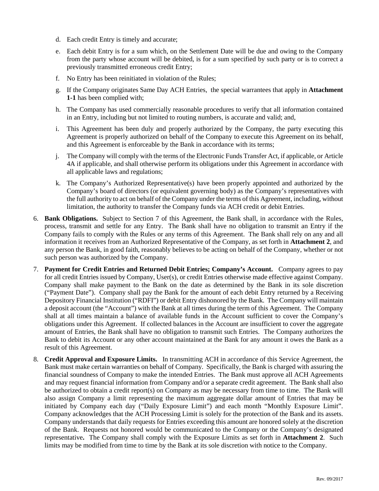- d. Each credit Entry is timely and accurate;
- e. Each debit Entry is for a sum which, on the Settlement Date will be due and owing to the Company from the party whose account will be debited, is for a sum specified by such party or is to correct a previously transmitted erroneous credit Entry;
- f. No Entry has been reinitiated in violation of the Rules;
- g. If the Company originates Same Day ACH Entries, the special warrantees that apply in **Attachment 1-1** has been complied with;
- h. The Company has used commercially reasonable procedures to verify that all information contained in an Entry, including but not limited to routing numbers, is accurate and valid; and,
- i. This Agreement has been duly and properly authorized by the Company, the party executing this Agreement is properly authorized on behalf of the Company to execute this Agreement on its behalf, and this Agreement is enforceable by the Bank in accordance with its terms;
- j. The Company will comply with the terms of the Electronic Funds Transfer Act, if applicable, or Article 4A if applicable, and shall otherwise perform its obligations under this Agreement in accordance with all applicable laws and regulations;
- k. The Company's Authorized Representative(s) have been properly appointed and authorized by the Company's board of directors (or equivalent governing body) as the Company's representatives with the full authority to act on behalf of the Company under the terms of this Agreement, including, without limitation, the authority to transfer the Company funds via ACH credit or debit Entries.
- 6. **Bank Obligations.** Subject to Section 7 of this Agreement, the Bank shall, in accordance with the Rules, process, transmit and settle for any Entry. The Bank shall have no obligation to transmit an Entry if the Company fails to comply with the Rules or any terms of this Agreement. The Bank shall rely on any and all information it receives from an Authorized Representative of the Company, as set forth in **Attachment 2**, and any person the Bank, in good faith, reasonably believes to be acting on behalf of the Company, whether or not such person was authorized by the Company.
- 7. **Payment for Credit Entries and Returned Debit Entries; Company's Account.** Company agrees to pay for all credit Entries issued by Company, User(s), or credit Entries otherwise made effective against Company. Company shall make payment to the Bank on the date as determined by the Bank in its sole discretion ("Payment Date"). Company shall pay the Bank for the amount of each debit Entry returned by a Receiving Depository Financial Institution ("RDFI") or debit Entry dishonored by the Bank. The Company will maintain a deposit account (the "Account") with the Bank at all times during the term of this Agreement. The Company shall at all times maintain a balance of available funds in the Account sufficient to cover the Company's obligations under this Agreement. If collected balances in the Account are insufficient to cover the aggregate amount of Entries, the Bank shall have no obligation to transmit such Entries. The Company authorizes the Bank to debit its Account or any other account maintained at the Bank for any amount it owes the Bank as a result of this Agreement.
- 8. **Credit Approval and Exposure Limits.** In transmitting ACH in accordance of this Service Agreement, the Bank must make certain warranties on behalf of Company. Specifically, the Bank is charged with assuring the financial soundness of Company to make the intended Entries. The Bank must approve all ACH Agreements and may request financial information from Company and/or a separate credit agreement. The Bank shall also be authorized to obtain a credit report(s) on Company as may be necessary from time to time. The Bank will also assign Company a limit representing the maximum aggregate dollar amount of Entries that may be initiated by Company each day ("Daily Exposure Limit") and each month "Monthly Exposure Limit". Company acknowledges that the ACH Processing Limit is solely for the protection of the Bank and its assets. Company understands that daily requests for Entries exceeding this amount are honored solely at the discretion of the Bank. Requests not honored would be communicated to the Company or the Company's designated representative**.** The Company shall comply with the Exposure Limits as set forth in **Attachment 2**. Such limits may be modified from time to time by the Bank at its sole discretion with notice to the Company.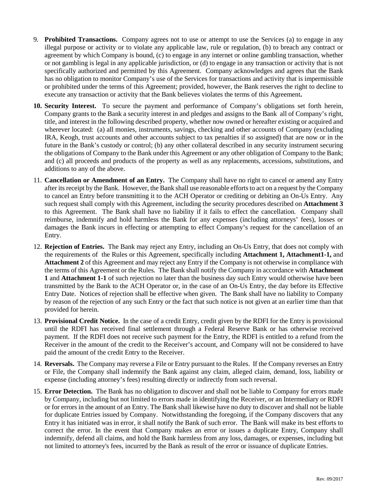- 9. **Prohibited Transactions.** Company agrees not to use or attempt to use the Services (a) to engage in any illegal purpose or activity or to violate any applicable law, rule or regulation, (b) to breach any contract or agreement by which Company is bound, (c) to engage in any internet or online gambling transaction, whether or not gambling is legal in any applicable jurisdiction, or (d) to engage in any transaction or activity that is not specifically authorized and permitted by this Agreement. Company acknowledges and agrees that the Bank has no obligation to monitor Company's use of the Services for transactions and activity that is impermissible or prohibited under the terms of this Agreement; provided, however, the Bank reserves the right to decline to execute any transaction or activity that the Bank believes violates the terms of this Agreement**.**
- **10. Security Interest.** To secure the payment and performance of Company's obligations set forth herein, Company grants to the Bank a security interest in and pledges and assigns to the Bank all of Company's right, title, and interest in the following described property, whether now owned or hereafter existing or acquired and wherever located: (a) all monies, instruments, savings, checking and other accounts of Company (excluding IRA, Keogh, trust accounts and other accounts subject to tax penalties if so assigned) that are now or in the future in the Bank's custody or control; (b) any other collateral described in any security instrument securing the obligations of Company to the Bank under this Agreement or any other obligation of Company to the Bank; and (c) all proceeds and products of the property as well as any replacements, accessions, substitutions, and additions to any of the above.
- 11. **Cancellation or Amendment of an Entry.** The Company shall have no right to cancel or amend any Entry after its receipt by the Bank. However, the Bank shall use reasonable efforts to act on a request by the Company to cancel an Entry before transmitting it to the ACH Operator or crediting or debiting an On-Us Entry. Any such request shall comply with this Agreement, including the security procedures described on **Attachment 3** to this Agreement. The Bank shall have no liability if it fails to effect the cancellation. Company shall reimburse, indemnify and hold harmless the Bank for any expenses (including attorneys' fees), losses or damages the Bank incurs in effecting or attempting to effect Company's request for the cancellation of an Entry.
- 12. **Rejection of Entries.** The Bank may reject any Entry, including an On-Us Entry, that does not comply with the requirements of the Rules or this Agreement, specifically including **Attachment 1, Attachment1-1,** and **Attachment 2** of this Agreement and may reject any Entry if the Company is not otherwise in compliance with the terms of this Agreement or the Rules. The Bank shall notify the Company in accordance with **Attachment 1** and **Attachment 1-1** of such rejection no later than the business day such Entry would otherwise have been transmitted by the Bank to the ACH Operator or, in the case of an On-Us Entry, the day before its Effective Entry Date. Notices of rejection shall be effective when given. The Bank shall have no liability to Company by reason of the rejection of any such Entry or the fact that such notice is not given at an earlier time than that provided for herein.
- 13. **Provisional Credit Notice.** In the case of a credit Entry, credit given by the RDFI for the Entry is provisional until the RDFI has received final settlement through a Federal Reserve Bank or has otherwise received payment. If the RDFI does not receive such payment for the Entry, the RDFI is entitled to a refund from the Receiver in the amount of the credit to the Receiver's account, and Company will not be considered to have paid the amount of the credit Entry to the Receiver.
- 14. **Reversals.** The Company may reverse a File or Entry pursuant to the Rules. If the Company reverses an Entry or File, the Company shall indemnify the Bank against any claim, alleged claim, demand, loss, liability or expense (including attorney's fees) resulting directly or indirectly from such reversal.
- 15. **Error Detection.** The Bank has no obligation to discover and shall not be liable to Company for errors made by Company, including but not limited to errors made in identifying the Receiver, or an Intermediary or RDFI or for errors in the amount of an Entry. The Bank shall likewise have no duty to discover and shall not be liable for duplicate Entries issued by Company. Notwithstanding the foregoing, if the Company discovers that any Entry it has initiated was in error, it shall notify the Bank of such error. The Bank will make its best efforts to correct the error. In the event that Company makes an error or issues a duplicate Entry, Company shall indemnify, defend all claims, and hold the Bank harmless from any loss, damages, or expenses, including but not limited to attorney's fees, incurred by the Bank as result of the error or issuance of duplicate Entries.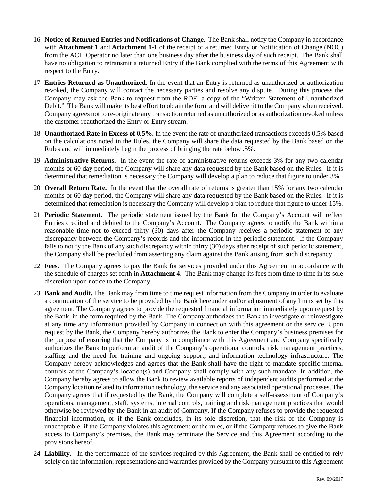- 16. **Notice of Returned Entries and Notifications of Change.** The Bank shall notify the Company in accordance with **Attachment 1** and **Attachment 1-1** of the receipt of a returned Entry or Notification of Change (NOC) from the ACH Operator no later than one business day after the business day of such receipt. The Bank shall have no obligation to retransmit a returned Entry if the Bank complied with the terms of this Agreement with respect to the Entry.
- 17. **Entries Returned as Unauthorized**. In the event that an Entry is returned as unauthorized or authorization revoked, the Company will contact the necessary parties and resolve any dispute. During this process the Company may ask the Bank to request from the RDFI a copy of the "Written Statement of Unauthorized Debit." The Bank will make its best effort to obtain the form and will deliver it to the Company when received. Company agrees not to re-originate any transaction returned as unauthorized or as authorization revoked unless the customer reauthorized the Entry or Entry stream.
- 18. **Unauthorized Rate in Excess of 0.5%.** In the event the rate of unauthorized transactions exceeds 0.5% based on the calculations noted in the Rules, the Company will share the data requested by the Bank based on the Rules and will immediately begin the process of bringing the rate below .5%.
- 19. **Administrative Returns.** In the event the rate of administrative returns exceeds 3% for any two calendar months or 60 day period, the Company will share any data requested by the Bank based on the Rules. If it is determined that remediation is necessary the Company will develop a plan to reduce that figure to under 3%.
- 20. **Overall Return Rate.** In the event that the overall rate of returns is greater than 15% for any two calendar months or 60 day period, the Company will share any data requested by the Bank based on the Rules. If it is determined that remediation is necessary the Company will develop a plan to reduce that figure to under 15%.
- 21. **Periodic Statement.** The periodic statement issued by the Bank for the Company's Account will reflect Entries credited and debited to the Company's Account. The Company agrees to notify the Bank within a reasonable time not to exceed thirty (30) days after the Company receives a periodic statement of any discrepancy between the Company's records and the information in the periodic statement. If the Company fails to notify the Bank of any such discrepancy within thirty (30) days after receipt of such periodic statement, the Company shall be precluded from asserting any claim against the Bank arising from such discrepancy.
- 22. **Fees.** The Company agrees to pay the Bank for services provided under this Agreement in accordance with the schedule of charges set forth in **Attachment 4**. The Bank may change its fees from time to time in its sole discretion upon notice to the Company.
- 23. **Bank and Audit.** The Bank may from time to time request information from the Company in order to evaluate a continuation of the service to be provided by the Bank hereunder and/or adjustment of any limits set by this agreement. The Company agrees to provide the requested financial information immediately upon request by the Bank, in the form required by the Bank. The Company authorizes the Bank to investigate or reinvestigate at any time any information provided by Company in connection with this agreement or the service. Upon request by the Bank, the Company hereby authorizes the Bank to enter the Company's business premises for the purpose of ensuring that the Company is in compliance with this Agreement and Company specifically authorizes the Bank to perform an audit of the Company's operational controls, risk management practices, staffing and the need for training and ongoing support, and information technology infrastructure. The Company hereby acknowledges and agrees that the Bank shall have the right to mandate specific internal controls at the Company's location(s) and Company shall comply with any such mandate. In addition, the Company hereby agrees to allow the Bank to review available reports of independent audits performed at the Company location related to information technology, the service and any associated operational processes. The Company agrees that if requested by the Bank, the Company will complete a self-assessment of Company's operations, management, staff, systems, internal controls, training and risk management practices that would otherwise be reviewed by the Bank in an audit of Company. If the Company refuses to provide the requested financial information, or if the Bank concludes, in its sole discretion, that the risk of the Company is unacceptable, if the Company violates this agreement or the rules, or if the Company refuses to give the Bank access to Company's premises, the Bank may terminate the Service and this Agreement according to the provisions hereof.
- 24. **Liability.** In the performance of the services required by this Agreement, the Bank shall be entitled to rely solely on the information; representations and warranties provided by the Company pursuant to this Agreement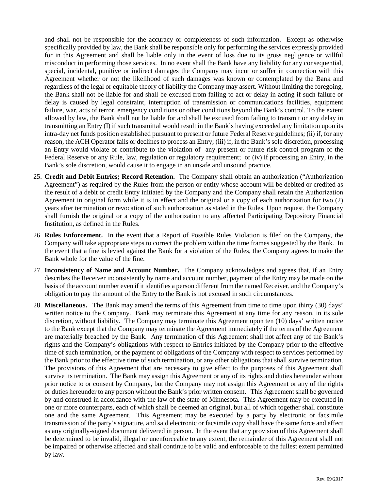and shall not be responsible for the accuracy or completeness of such information. Except as otherwise specifically provided by law, the Bank shall be responsible only for performing the services expressly provided for in this Agreement and shall be liable only in the event of loss due to its gross negligence or willful misconduct in performing those services. In no event shall the Bank have any liability for any consequential, special, incidental, punitive or indirect damages the Company may incur or suffer in connection with this Agreement whether or not the likelihood of such damages was known or contemplated by the Bank and regardless of the legal or equitable theory of liability the Company may assert. Without limiting the foregoing, the Bank shall not be liable for and shall be excused from failing to act or delay in acting if such failure or delay is caused by legal constraint, interruption of transmission or communications facilities, equipment failure, war, acts of terror, emergency conditions or other conditions beyond the Bank's control. To the extent allowed by law, the Bank shall not be liable for and shall be excused from failing to transmit or any delay in transmitting an Entry (I) if such transmittal would result in the Bank's having exceeded any limitation upon its intra-day net funds position established pursuant to present or future Federal Reserve guidelines; (ii) if, for any reason, the ACH Operator fails or declines to process an Entry; (iii) if, in the Bank's sole discretion, processing an Entry would violate or contribute to the violation of any present or future risk control program of the Federal Reserve or any Rule, law, regulation or regulatory requirement; or (iv) if processing an Entry, in the Bank's sole discretion, would cause it to engage in an unsafe and unsound practice.

- 25. **Credit and Debit Entries; Record Retention.** The Company shall obtain an authorization ("Authorization Agreement") as required by the Rules from the person or entity whose account will be debited or credited as the result of a debit or credit Entry initiated by the Company and the Company shall retain the Authorization Agreement in original form while it is in effect and the original or a copy of each authorization for two (2) years after termination or revocation of such authorization as stated in the Rules. Upon request, the Company shall furnish the original or a copy of the authorization to any affected Participating Depository Financial Institution, as defined in the Rules.
- 26. **Rules Enforcement.** In the event that a Report of Possible Rules Violation is filed on the Company, the Company will take appropriate steps to correct the problem within the time frames suggested by the Bank. In the event that a fine is levied against the Bank for a violation of the Rules, the Company agrees to make the Bank whole for the value of the fine.
- 27. **Inconsistency of Name and Account Number.** The Company acknowledges and agrees that, if an Entry describes the Receiver inconsistently by name and account number, payment of the Entry may be made on the basis of the account number even if it identifies a person different from the named Receiver, and the Company's obligation to pay the amount of the Entry to the Bank is not excused in such circumstances.
- 28. **Miscellaneous.** The Bank may amend the terms of this Agreement from time to time upon thirty (30) days' written notice to the Company. Bank may terminate this Agreement at any time for any reason, in its sole discretion, without liability. The Company may terminate this Agreement upon ten (10) days' written notice to the Bank except that the Company may terminate the Agreement immediately if the terms of the Agreement are materially breached by the Bank. Any termination of this Agreement shall not affect any of the Bank's rights and the Company's obligations with respect to Entries initiated by the Company prior to the effective time of such termination, or the payment of obligations of the Company with respect to services performed by the Bank prior to the effective time of such termination, or any other obligations that shall survive termination. The provisions of this Agreement that are necessary to give effect to the purposes of this Agreement shall survive its termination. The Bank may assign this Agreement or any of its rights and duties hereunder without prior notice to or consent by Company, but the Company may not assign this Agreement or any of the rights or duties hereunder to any person without the Bank's prior written consent. This Agreement shall be governed by and construed in accordance with the law of the state of Minnesota*.* This Agreement may be executed in one or more counterparts, each of which shall be deemed an original, but all of which together shall constitute one and the same Agreement. This Agreement may be executed by a party by electronic or facsimile transmission of the party's signature, and said electronic or facsimile copy shall have the same force and effect as any originally-signed document delivered in person. In the event that any provision of this Agreement shall be determined to be invalid, illegal or unenforceable to any extent, the remainder of this Agreement shall not be impaired or otherwise affected and shall continue to be valid and enforceable to the fullest extent permitted by law.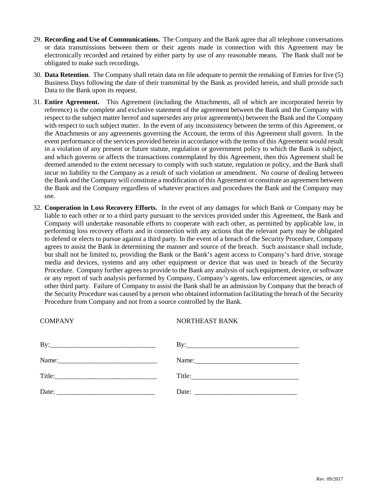- 29. **Recording and Use of Communications.** The Company and the Bank agree that all telephone conversations or data transmissions between them or their agents made in connection with this Agreement may be electronically recorded and retained by either party by use of any reasonable means. The Bank shall not be obligated to make such recordings.
- 30. **Data Retention**. The Company shall retain data on file adequate to permit the remaking of Entries for five (5) Business Days following the date of their transmittal by the Bank as provided herein, and shall provide such Data to the Bank upon its request.
- 31. **Entire Agreement.** This Agreement (including the Attachments, all of which are incorporated herein by reference) is the complete and exclusive statement of the agreement between the Bank and the Company with respect to the subject matter hereof and supersedes any prior agreement(s) between the Bank and the Company with respect to such subject matter. In the event of any inconsistency between the terms of this Agreement, or the Attachments or any agreements governing the Account, the terms of this Agreement shall govern. In the event performance of the services provided herein in accordance with the terms of this Agreement would result in a violation of any present or future statute, regulation or government policy to which the Bank is subject, and which governs or affects the transactions contemplated by this Agreement, then this Agreement shall be deemed amended to the extent necessary to comply with such statute, regulation or policy, and the Bank shall incur no liability to the Company as a result of such violation or amendment. No course of dealing between the Bank and the Company will constitute a modification of this Agreement or constitute an agreement between the Bank and the Company regardless of whatever practices and procedures the Bank and the Company may use.
- 32. **Cooperation in Loss Recovery Efforts.** In the event of any damages for which Bank or Company may be liable to each other or to a third party pursuant to the services provided under this Agreement, the Bank and Company will undertake reasonable efforts to cooperate with each other, as permitted by applicable law, in performing loss recovery efforts and in connection with any actions that the relevant party may be obligated to defend or elects to pursue against a third party. In the event of a breach of the Security Procedure, Company agrees to assist the Bank in determining the manner and source of the breach. Such assistance shall include, but shall not be limited to, providing the Bank or the Bank's agent access to Company's hard drive, storage media and devices, systems and any other equipment or device that was used in breach of the Security Procedure. Company further agrees to provide to the Bank any analysis of such equipment, device, or software or any report of such analysis performed by Company, Company's agents, law enforcement agencies, or any other third party. Failure of Company to assist the Bank shall be an admission by Company that the breach of the Security Procedure was caused by a person who obtained information facilitating the breach of the Security Procedure from Company and not from a source controlled by the Bank.

| <b>COMPANY</b>                                                                                                                                                                                                                                                                                                                                                                                                                                    | NORTHEAST BANK |
|---------------------------------------------------------------------------------------------------------------------------------------------------------------------------------------------------------------------------------------------------------------------------------------------------------------------------------------------------------------------------------------------------------------------------------------------------|----------------|
|                                                                                                                                                                                                                                                                                                                                                                                                                                                   |                |
|                                                                                                                                                                                                                                                                                                                                                                                                                                                   | Name:          |
|                                                                                                                                                                                                                                                                                                                                                                                                                                                   |                |
| Date: $\frac{1}{\sqrt{1-\frac{1}{2}} \cdot \frac{1}{2} \cdot \frac{1}{2} \cdot \frac{1}{2} \cdot \frac{1}{2} \cdot \frac{1}{2} \cdot \frac{1}{2} \cdot \frac{1}{2} \cdot \frac{1}{2} \cdot \frac{1}{2} \cdot \frac{1}{2} \cdot \frac{1}{2} \cdot \frac{1}{2} \cdot \frac{1}{2} \cdot \frac{1}{2} \cdot \frac{1}{2} \cdot \frac{1}{2} \cdot \frac{1}{2} \cdot \frac{1}{2} \cdot \frac{1}{2} \cdot \frac{1}{2} \cdot \frac{1}{2} \cdot \frac{1}{2}$ |                |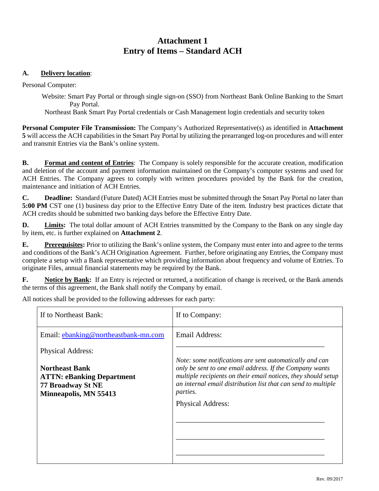# **Attachment 1 Entry of Items – Standard ACH**

## **A. Delivery location**:

Personal Computer:

Website: Smart Pay Portal or through single sign-on (SSO) from Northeast Bank Online Banking to the Smart Pay Portal.

Northeast Bank Smart Pay Portal credentials or Cash Management login credentials and security token

**Personal Computer File Transmission:** The Company's Authorized Representative(s) as identified in **Attachment 5** will access the ACH capabilities in the Smart Pay Portal by utilizing the prearranged log-on procedures and will enter and transmit Entries via the Bank's online system.

**B. Format and content of Entries**: The Company is solely responsible for the accurate creation, modification and deletion of the account and payment information maintained on the Company's computer systems and used for ACH Entries. The Company agrees to comply with written procedures provided by the Bank for the creation, maintenance and initiation of ACH Entries.

**C. Deadline:** Standard (Future Dated) ACH Entries must be submitted through the Smart Pay Portal no later than **5:00 PM** CST one (1) business day prior to the Effective Entry Date of the item. Industry best practices dictate that ACH credits should be submitted two banking days before the Effective Entry Date.

**D. Limits:** The total dollar amount of ACH Entries transmitted by the Company to the Bank on any single day by item, etc. is further explained on **Attachment 2**.

**E. Prerequisites:** Prior to utilizing the Bank's online system, the Company must enter into and agree to the terms and conditions of the Bank's ACH Origination Agreement. Further, before originating any Entries, the Company must complete a setup with a Bank representative which providing information about frequency and volume of Entries. To originate Files, annual financial statements may be required by the Bank.

**F. Notice by Bank:** If an Entry is rejected or returned, a notification of change is received, or the Bank amends the terms of this agreement, the Bank shall notify the Company by email.

All notices shall be provided to the following addresses for each party:

| If to Northeast Bank:                                                                                   | If to Company:                                                                                                                                                                                                                                                                               |
|---------------------------------------------------------------------------------------------------------|----------------------------------------------------------------------------------------------------------------------------------------------------------------------------------------------------------------------------------------------------------------------------------------------|
| Email: ebanking@northeastbank-mn.com                                                                    | Email Address:                                                                                                                                                                                                                                                                               |
| <b>Physical Address:</b>                                                                                |                                                                                                                                                                                                                                                                                              |
| <b>Northeast Bank</b><br><b>ATTN: eBanking Department</b><br>77 Broadway St NE<br>Minneapolis, MN 55413 | Note: some notifications are sent automatically and can<br>only be sent to one email address. If the Company wants<br>multiple recipients on their email notices, they should setup<br>an internal email distribution list that can send to multiple<br><i>parties.</i><br>Physical Address: |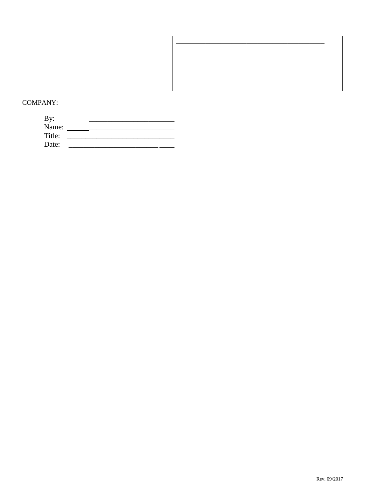## **COMPANY:**

| By:    |  |  |
|--------|--|--|
| Name:  |  |  |
| Title: |  |  |
| Date:  |  |  |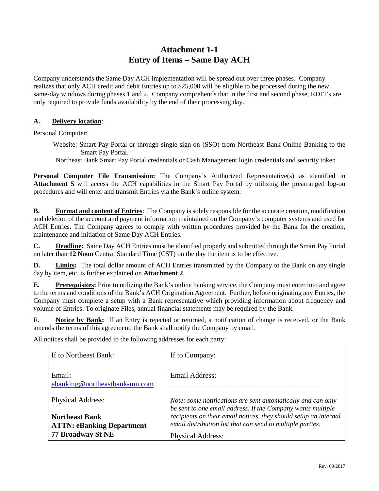# **Attachment 1-1 Entry of Items – Same Day ACH**

Company understands the Same Day ACH implementation will be spread out over three phases. Company realizes that only ACH credit and debit Entries up to \$25,000 will be eligible to be processed during the new same-day windows during phases 1 and 2. Company comprehends that in the first and second phase, RDFI's are only required to provide funds availability by the end of their processing day.

#### **A. Delivery location**:

Personal Computer:

- Website: Smart Pay Portal or through single sign-on (SSO) from Northeast Bank Online Banking to the Smart Pay Portal.
- Northeast Bank Smart Pay Portal credentials or Cash Management login credentials and security token

**Personal Computer File Transmission:** The Company's Authorized Representative(s) as identified in **Attachment 5** will access the ACH capabilities in the Smart Pay Portal by utilizing the prearranged log-on procedures and will enter and transmit Entries via the Bank's online system.

**B. Format and content of Entries**: The Company is solely responsible for the accurate creation, modification and deletion of the account and payment information maintained on the Company's computer systems and used for ACH Entries. The Company agrees to comply with written procedures provided by the Bank for the creation, maintenance and initiation of Same Day ACH Entries.

**C. Deadline:** Same Day ACH Entries must be identified properly and submitted through the Smart Pay Portal no later than **12 Noon** Central Standard Time (CST) on the day the item is to be effective.

**D. Limits:** The total dollar amount of ACH Entries transmitted by the Company to the Bank on any single day by item, etc. is further explained on **Attachment 2**.

**E. Prerequisites:** Prior to utilizing the Bank's online banking service, the Company must enter into and agree to the terms and conditions of the Bank's ACH Origination Agreement. Further, before originating any Entries, the Company must complete a setup with a Bank representative which providing information about frequency and volume of Entries. To originate Files, annual financial statements may be required by the Bank.

**F. Notice by Bank:** If an Entry is rejected or returned, a notification of change is received, or the Bank amends the terms of this agreement, the Bank shall notify the Company by email.

All notices shall be provided to the following addresses for each party:

| If to Northeast Bank:                                     | If to Company:                                                                                                                 |
|-----------------------------------------------------------|--------------------------------------------------------------------------------------------------------------------------------|
| Email:<br>ebanking@northeastbank-mn.com                   | Email Address:                                                                                                                 |
| <b>Physical Address:</b>                                  | Note: some notifications are sent automatically and can only<br>be sent to one email address. If the Company wants multiple    |
| <b>Northeast Bank</b><br><b>ATTN: eBanking Department</b> | recipients on their email notices, they should setup an internal<br>email distribution list that can send to multiple parties. |
| 77 Broadway St NE                                         | <b>Physical Address:</b>                                                                                                       |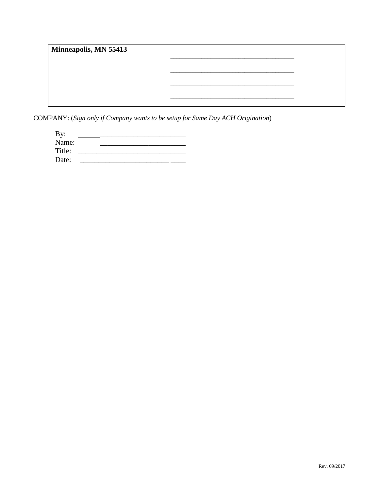| Minneapolis, MN 55413 |  |
|-----------------------|--|
|                       |  |
|                       |  |
|                       |  |
|                       |  |

COMPANY: (Sign only if Company wants to be setup for Same Day ACH Origination)

| By:    |  |  |  |
|--------|--|--|--|
| Name:  |  |  |  |
| Title: |  |  |  |
| Date:  |  |  |  |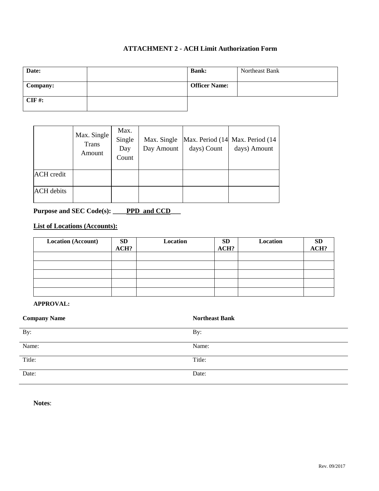## **ATTACHMENT 2 - ACH Limit Authorization Form**

| Date:    | <b>Bank:</b>         | Northeast Bank |
|----------|----------------------|----------------|
| Company: | <b>Officer Name:</b> |                |
| $CIF$ #: |                      |                |

|                   | Max. Single<br>Trans<br>Amount | Max.<br>Single<br>Day<br>Count | Max. Single<br>Day Amount | days) Count | Max. Period (14 Max. Period (14<br>days) Amount |
|-------------------|--------------------------------|--------------------------------|---------------------------|-------------|-------------------------------------------------|
| <b>ACH</b> credit |                                |                                |                           |             |                                                 |
| <b>ACH</b> debits |                                |                                |                           |             |                                                 |

## Purpose and SEC Code(s): **\_\_\_\_PPD** and CCD\_\_\_\_

## **List of Locations (Accounts):**

| <b>Location (Account)</b> | <b>SD</b><br>ACH? | Location | <b>SD</b><br>ACH? | Location | <b>SD</b><br>ACH? |
|---------------------------|-------------------|----------|-------------------|----------|-------------------|
|                           |                   |          |                   |          |                   |
|                           |                   |          |                   |          |                   |
|                           |                   |          |                   |          |                   |
|                           |                   |          |                   |          |                   |
|                           |                   |          |                   |          |                   |

#### **APPROVAL:**

| <b>Company Name</b> | <b>Northeast Bank</b> |
|---------------------|-----------------------|
| By:                 | By:                   |
| Name:               | Name:                 |
| Title:              | Title:                |
| Date:               | Date:                 |

**Notes**: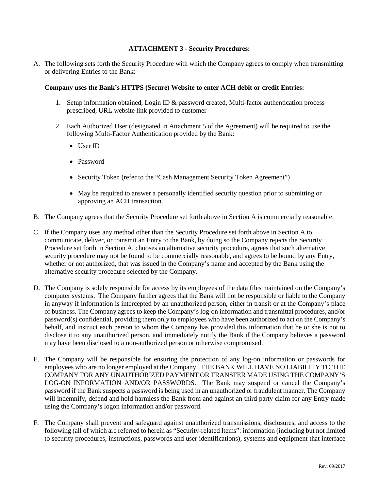#### **ATTACHMENT 3 - Security Procedures:**

A. The following sets forth the Security Procedure with which the Company agrees to comply when transmitting or delivering Entries to the Bank:

#### **Company uses the Bank's HTTPS (Secure) Website to enter ACH debit or credit Entries:**

- 1. Setup information obtained, Login ID & password created, Multi-factor authentication process prescribed, URL website link provided to customer
- 2. Each Authorized User (designated in Attachment 5 of the Agreement) will be required to use the following Multi-Factor Authentication provided by the Bank:
	- User ID
	- Password
	- Security Token (refer to the "Cash Management Security Token Agreement")
	- May be required to answer a personally identified security question prior to submitting or approving an ACH transaction.
- B. The Company agrees that the Security Procedure set forth above in Section A is commercially reasonable.
- C. If the Company uses any method other than the Security Procedure set forth above in Section A to communicate, deliver, or transmit an Entry to the Bank, by doing so the Company rejects the Security Procedure set forth in Section A, chooses an alternative security procedure, agrees that such alternative security procedure may not be found to be commercially reasonable, and agrees to be bound by any Entry, whether or not authorized, that was issued in the Company's name and accepted by the Bank using the alternative security procedure selected by the Company.
- D. The Company is solely responsible for access by its employees of the data files maintained on the Company's computer systems. The Company further agrees that the Bank will not be responsible or liable to the Company in anyway if information is intercepted by an unauthorized person, either in transit or at the Company's place of business. The Company agrees to keep the Company's log-on information and transmittal procedures, and/or password(s) confidential, providing them only to employees who have been authorized to act on the Company's behalf, and instruct each person to whom the Company has provided this information that he or she is not to disclose it to any unauthorized person, and immediately notify the Bank if the Company believes a password may have been disclosed to a non-authorized person or otherwise compromised.
- E. The Company will be responsible for ensuring the protection of any log-on information or passwords for employees who are no longer employed at the Company. THE BANK WILL HAVE NO LIABILITY TO THE COMPANY FOR ANY UNAUTHORIZED PAYMENT OR TRANSFER MADE USING THE COMPANY'S LOG-ON INFORMATION AND/OR PASSWORDS. The Bank may suspend or cancel the Company's password if the Bank suspects a password is being used in an unauthorized or fraudulent manner. The Company will indemnify, defend and hold harmless the Bank from and against an third party claim for any Entry made using the Company's logon information and/or password.
- F. The Company shall prevent and safeguard against unauthorized transmissions, disclosures, and access to the following (all of which are referred to herein as "Security-related Items": information (including but not limited to security procedures, instructions, passwords and user identifications), systems and equipment that interface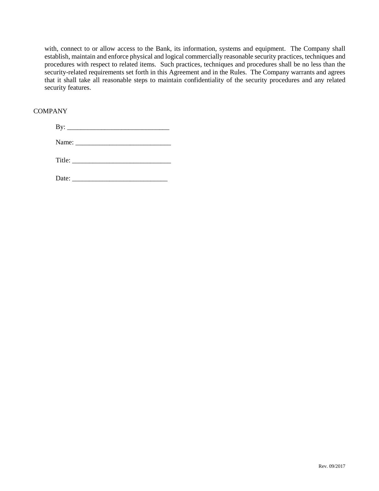with, connect to or allow access to the Bank, its information, systems and equipment. The Company shall establish, maintain and enforce physical and logical commercially reasonable security practices, techniques and procedures with respect to related items. Such practices, techniques and procedures shall be no less than the security-related requirements set forth in this Agreement and in the Rules. The Company warrants and agrees that it shall take all reasonable steps to maintain confidentiality of the security procedures and any related security features.

#### **COMPANY**

|  | Title: $\sqrt{\frac{1}{2}$ |  |
|--|----------------------------|--|
|  |                            |  |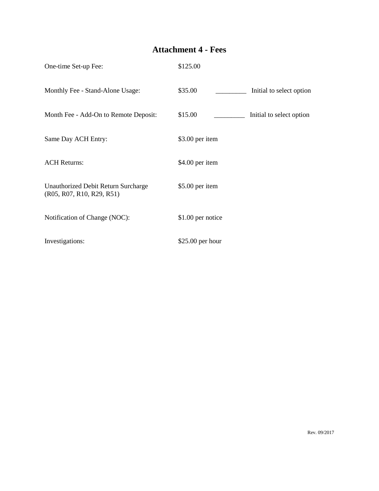# **Attachment 4 - Fees**

| One-time Set-up Fee:                                             | \$125.00                            |
|------------------------------------------------------------------|-------------------------------------|
| Monthly Fee - Stand-Alone Usage:                                 | \$35.00<br>Initial to select option |
| Month Fee - Add-On to Remote Deposit:                            | \$15.00<br>Initial to select option |
| Same Day ACH Entry:                                              | \$3.00 per item                     |
| <b>ACH Returns:</b>                                              | \$4.00 per item                     |
| Unauthorized Debit Return Surcharge<br>(R05, R07, R10, R29, R51) | $$5.00$ per item                    |
| Notification of Change (NOC):                                    | \$1.00 per notice                   |
| Investigations:                                                  | $$25.00$ per hour                   |